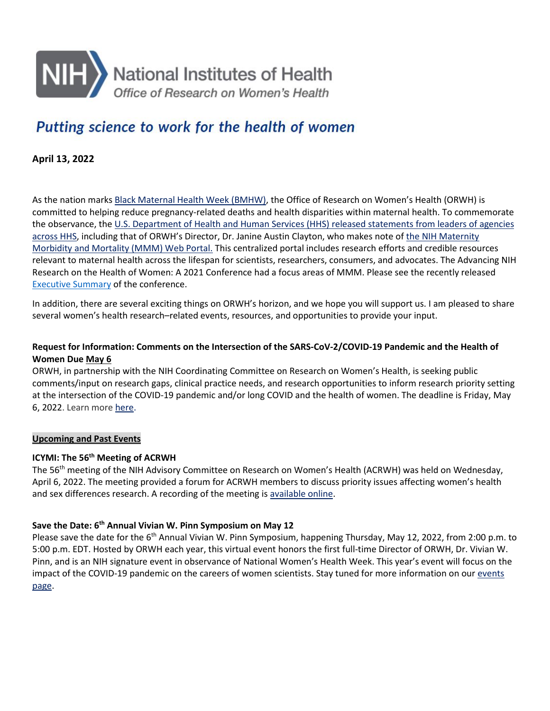

# Putting science to work for the health of women

**April 13, 2022**

As the nation marks [Black Maternal Health Week \(BMHW\),](https://nam02.safelinks.protection.outlook.com/?url=https%3A%2F%2Fwww.whitehouse.gov%2Fbriefing-room%2Fpresidential-actions%2F2022%2F04%2F08%2Fa-proclamation-on-black-maternal-health-week-2022%2F&data=04%7C01%7Ccwill137%40jhu.edu%7C9ee135aa58454535e5de08da1d833e44%7C9fa4f438b1e6473b803f86f8aedf0dec%7C0%7C0%7C637854746763294418%7CUnknown%7CTWFpbGZsb3d8eyJWIjoiMC4wLjAwMDAiLCJQIjoiV2luMzIiLCJBTiI6Ik1haWwiLCJXVCI6Mn0%3D%7C3000&sdata=txvyAiuoaaOETYqPMVdPaVaoTOZulDZiO%2FiGgrZZbPI%3D&reserved=0) the Office of Research on Women's Health (ORWH) is committed to helping reduce pregnancy-related deaths and health disparities within maternal health. To commemorate the observance, the [U.S. Department of Health and Human Services \(HHS\) released statements from leaders of agencies](https://nam02.safelinks.protection.outlook.com/?url=https%3A%2F%2Fwww.hhs.gov%2Fabout%2Fnews%2F2022%2F04%2F11%2Fsecretary-becerra-and-hhs-leaders-celebrate-black-maternal-health-week-2022.html&data=04%7C01%7Ccwill137%40jhu.edu%7C9ee135aa58454535e5de08da1d833e44%7C9fa4f438b1e6473b803f86f8aedf0dec%7C0%7C0%7C637854746763294418%7CUnknown%7CTWFpbGZsb3d8eyJWIjoiMC4wLjAwMDAiLCJQIjoiV2luMzIiLCJBTiI6Ik1haWwiLCJXVCI6Mn0%3D%7C3000&sdata=k0gqi1jENn4wtDjyvsYu6tR908v5P21yLxz19HD28c0%3D&reserved=0)  [across HHS,](https://nam02.safelinks.protection.outlook.com/?url=https%3A%2F%2Fwww.hhs.gov%2Fabout%2Fnews%2F2022%2F04%2F11%2Fsecretary-becerra-and-hhs-leaders-celebrate-black-maternal-health-week-2022.html&data=04%7C01%7Ccwill137%40jhu.edu%7C9ee135aa58454535e5de08da1d833e44%7C9fa4f438b1e6473b803f86f8aedf0dec%7C0%7C0%7C637854746763294418%7CUnknown%7CTWFpbGZsb3d8eyJWIjoiMC4wLjAwMDAiLCJQIjoiV2luMzIiLCJBTiI6Ik1haWwiLCJXVCI6Mn0%3D%7C3000&sdata=k0gqi1jENn4wtDjyvsYu6tR908v5P21yLxz19HD28c0%3D&reserved=0) including that of ORWH's Director, Dr. Janine Austin Clayton, who makes note of [the NIH Maternity](https://nam02.safelinks.protection.outlook.com/?url=https%3A%2F%2Forwh.od.nih.gov%2Fmmm-portal&data=04%7C01%7Ccwill137%40jhu.edu%7C9ee135aa58454535e5de08da1d833e44%7C9fa4f438b1e6473b803f86f8aedf0dec%7C0%7C0%7C637854746763294418%7CUnknown%7CTWFpbGZsb3d8eyJWIjoiMC4wLjAwMDAiLCJQIjoiV2luMzIiLCJBTiI6Ik1haWwiLCJXVCI6Mn0%3D%7C3000&sdata=xKGA9qT%2FbH7WBMqO3IR5Ls%2FeSxDQbLF4%2FwoOHFblYoA%3D&reserved=0)  [Morbidity and Mortality \(MMM\) Web Portal.](https://nam02.safelinks.protection.outlook.com/?url=https%3A%2F%2Forwh.od.nih.gov%2Fmmm-portal&data=04%7C01%7Ccwill137%40jhu.edu%7C9ee135aa58454535e5de08da1d833e44%7C9fa4f438b1e6473b803f86f8aedf0dec%7C0%7C0%7C637854746763294418%7CUnknown%7CTWFpbGZsb3d8eyJWIjoiMC4wLjAwMDAiLCJQIjoiV2luMzIiLCJBTiI6Ik1haWwiLCJXVCI6Mn0%3D%7C3000&sdata=xKGA9qT%2FbH7WBMqO3IR5Ls%2FeSxDQbLF4%2FwoOHFblYoA%3D&reserved=0) This centralized portal includes research efforts and credible resources relevant to maternal health across the lifespan for scientists, researchers, consumers, and advocates. The Advancing NIH Research on the Health of Women: A 2021 Conference had a focus areas of MMM. Please see the recently released [Executive Summary](https://nam02.safelinks.protection.outlook.com/?url=https%3A%2F%2Forwh.od.nih.gov%2Fsites%2Forwh%2Ffiles%2Fdocs%2FORWH_WHC_ExecutiveSummary508.pdf&data=04%7C01%7Ccwill137%40jhu.edu%7C9ee135aa58454535e5de08da1d833e44%7C9fa4f438b1e6473b803f86f8aedf0dec%7C0%7C0%7C637854746763294418%7CUnknown%7CTWFpbGZsb3d8eyJWIjoiMC4wLjAwMDAiLCJQIjoiV2luMzIiLCJBTiI6Ik1haWwiLCJXVCI6Mn0%3D%7C3000&sdata=fZdNdcVchH3wfYh75HytaLDF0%2F4vOm6If9yOSajniXA%3D&reserved=0) of the conference.

In addition, there are several exciting things on ORWH's horizon, and we hope you will support us. I am pleased to share several women's health research–related events, resources, and opportunities to provide your input.

# **Request for Information: Comments on the Intersection of the SARS-CoV-2/COVID-19 Pandemic and the Health of Women Due May 6**

ORWH, in partnership with the NIH Coordinating Committee on Research on Women's Health, is seeking public comments/input on research gaps, clinical practice needs, and research opportunities to inform research priority setting at the intersection of the COVID-19 pandemic and/or long COVID and the health of women. The deadline is Friday, May 6, 2022. Learn more [here.](https://nam02.safelinks.protection.outlook.com/?url=https%3A%2F%2Fgrants.nih.gov%2Fgrants%2Fguide%2Fnotice-files%2FNOT-OD-22-092.html&data=04%7C01%7Ccwill137%40jhu.edu%7C9ee135aa58454535e5de08da1d833e44%7C9fa4f438b1e6473b803f86f8aedf0dec%7C0%7C0%7C637854746763294418%7CUnknown%7CTWFpbGZsb3d8eyJWIjoiMC4wLjAwMDAiLCJQIjoiV2luMzIiLCJBTiI6Ik1haWwiLCJXVCI6Mn0%3D%7C3000&sdata=6Ao5LJkUJ%2Fc3Ll9Khbcjj8wP3bbAzBbP9PbnetZFaMs%3D&reserved=0)

## **Upcoming and Past Events**

## **ICYMI: The 56<sup>th</sup> Meeting of ACRWH**

The 56th meeting of the NIH Advisory Committee on Research on Women's Health (ACRWH) was held on Wednesday, April 6, 2022. The meeting provided a forum for ACRWH members to discuss priority issues affecting women's health and sex differences research. A recording of the meeting is [available online.](https://nam02.safelinks.protection.outlook.com/?url=https%3A%2F%2Fvideocast.nih.gov%2Fwatch%3D45020&data=04%7C01%7Ccwill137%40jhu.edu%7C9ee135aa58454535e5de08da1d833e44%7C9fa4f438b1e6473b803f86f8aedf0dec%7C0%7C0%7C637854746763294418%7CUnknown%7CTWFpbGZsb3d8eyJWIjoiMC4wLjAwMDAiLCJQIjoiV2luMzIiLCJBTiI6Ik1haWwiLCJXVCI6Mn0%3D%7C3000&sdata=kX%2BNv3sdyVI8iarxgcfoFvTyzptTs%2Ft0fjR2zm1nLik%3D&reserved=0)

## **Save the Date: 6th Annual Vivian W. Pinn Symposium on May 12**

Please save the date for the 6<sup>th</sup> Annual Vivian W. Pinn Symposium, happening Thursday, May 12, 2022, from 2:00 p.m. to 5:00 p.m. EDT. Hosted by ORWH each year, this virtual event honors the first full-time Director of ORWH, Dr. Vivian W. Pinn, and is an NIH signature event in observance of National Women's Health Week. This year's event will focus on the impact of the COVID-19 pandemic on the careers of women scientists. Stay tuned for more information on our [events](https://orwh.od.nih.gov/about/newsroom/events/6th-annual-vivian-w-pinn-symposium)  [page.](https://orwh.od.nih.gov/about/newsroom/events/6th-annual-vivian-w-pinn-symposium)